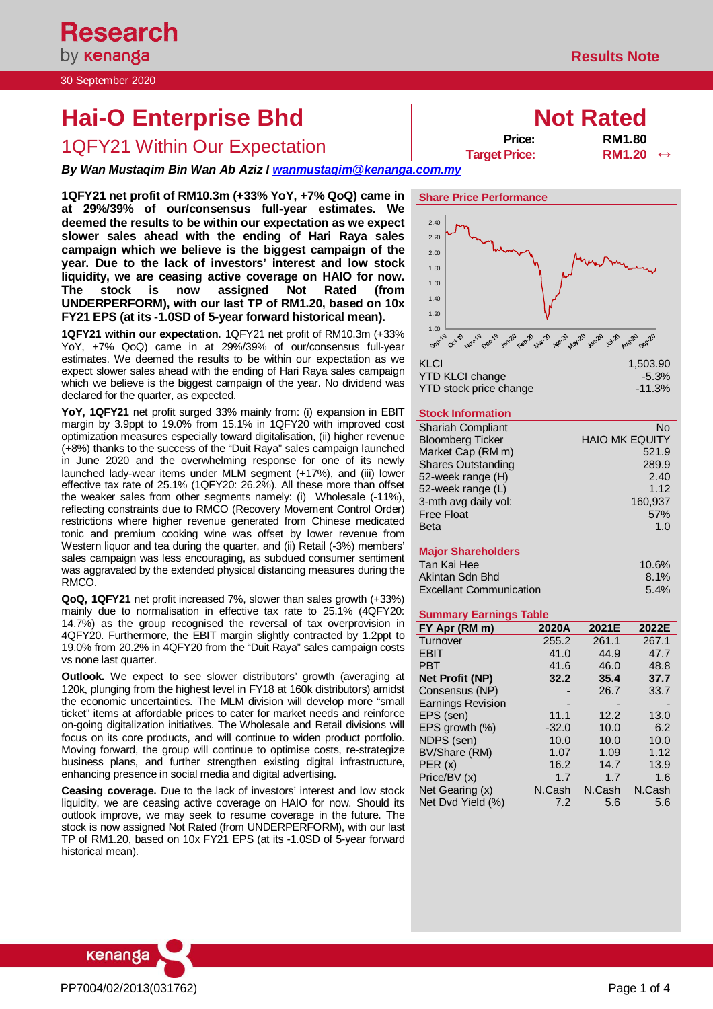by **kenanga** 30 September 2020

**Research** 

# **Hai-O Enterprise Bhd Not Rated**

1QFY21 Within Our Expectation **Price:** RM1.80 → Price: RM1.80

*By Wan Mustaqim Bin Wan Ab Aziz l [wanmustaqim@kenanga.com.my](mailto:wanmustaqim@kenanga.com.my)*

**1QFY21 net profit of RM10.3m (+33% YoY, +7% QoQ) came in at 29%/39% of our/consensus full-year estimates. We deemed the results to be within our expectation as we expect slower sales ahead with the ending of Hari Raya sales campaign which we believe is the biggest campaign of the year. Due to the lack of investors' interest and low stock liquidity, we are ceasing active coverage on HAIO for now. The stock is now assigned Not Rated (from UNDERPERFORM), with our last TP of RM1.20, based on 10x FY21 EPS (at its -1.0SD of 5-year forward historical mean).**

**1QFY21 within our expectation.** 1QFY21 net profit of RM10.3m (+33% YoY, +7% QoQ) came in at 29%/39% of our/consensus full-year estimates. We deemed the results to be within our expectation as we expect slower sales ahead with the ending of Hari Raya sales campaign which we believe is the biggest campaign of the year. No dividend was declared for the quarter, as expected.

**YoY, 1QFY21** net profit surged 33% mainly from: (i) expansion in EBIT margin by 3.9ppt to 19.0% from 15.1% in 1QFY20 with improved cost optimization measures especially toward digitalisation, (ii) higher revenue (+8%) thanks to the success of the "Duit Raya" sales campaign launched in June 2020 and the overwhelming response for one of its newly launched lady-wear items under MLM segment (+17%), and (iii) lower effective tax rate of 25.1% (1QFY20: 26.2%). All these more than offset the weaker sales from other segments namely: (i) Wholesale (-11%), reflecting constraints due to RMCO (Recovery Movement Control Order) restrictions where higher revenue generated from Chinese medicated tonic and premium cooking wine was offset by lower revenue from Western liquor and tea during the quarter, and (ii) Retail (-3%) members' sales campaign was less encouraging, as subdued consumer sentiment was aggravated by the extended physical distancing measures during the RMCO.

**QoQ, 1QFY21** net profit increased 7%, slower than sales growth (+33%) mainly due to normalisation in effective tax rate to 25.1% (4QFY20: 14.7%) as the group recognised the reversal of tax overprovision in 4QFY20. Furthermore, the EBIT margin slightly contracted by 1.2ppt to 19.0% from 20.2% in 4QFY20 from the "Duit Raya" sales campaign costs vs none last quarter.

**Outlook.** We expect to see slower distributors' growth (averaging at 120k, plunging from the highest level in FY18 at 160k distributors) amidst the economic uncertainties. The MLM division will develop more "small ticket" items at affordable prices to cater for market needs and reinforce on-going digitalization initiatives. The Wholesale and Retail divisions will focus on its core products, and will continue to widen product portfolio. Moving forward, the group will continue to optimise costs, re-strategize business plans, and further strengthen existing digital infrastructure, enhancing presence in social media and digital advertising.

**Ceasing coverage.** Due to the lack of investors' interest and low stock liquidity, we are ceasing active coverage on HAIO for now. Should its outlook improve, we may seek to resume coverage in the future. The stock is now assigned Not Rated (from UNDERPERFORM), with our last TP of RM1.20, based on 10x FY21 EPS (at its -1.0SD of 5-year forward historical mean).



| YTD KLCI change        | $-5.3%$  |
|------------------------|----------|
| YTD stock price change | $-11.3%$ |

## **Stock Information**

| <b>Shariah Compliant</b>  | N٥                    |
|---------------------------|-----------------------|
| <b>Bloomberg Ticker</b>   | <b>HAIO MK EQUITY</b> |
| Market Cap (RM m)         | 521.9                 |
| <b>Shares Outstanding</b> | 289.9                 |
| 52-week range (H)         | 2.40                  |
| 52-week range (L)         | 1.12                  |
| 3-mth avg daily vol:      | 160,937               |
| <b>Free Float</b>         | 57%                   |
| <b>Beta</b>               | 1.0                   |

## **Major Shareholders**

| Tan Kai Hee                    | 10.6%   |
|--------------------------------|---------|
| Akintan Sdn Bhd                | $8.1\%$ |
| <b>Excellant Communication</b> | $5.4\%$ |

## **Summary Earnings Table**

| FY Apr (RM m)            | 2020A   | 2021E  | 2022E  |
|--------------------------|---------|--------|--------|
| Turnover                 | 255.2   | 261.1  | 267.1  |
| <b>EBIT</b>              | 41.0    | 44.9   | 47.7   |
| <b>PBT</b>               | 41.6    | 46.0   | 48.8   |
| <b>Net Profit (NP)</b>   | 32.2    | 35.4   | 37.7   |
| Consensus (NP)           |         | 26.7   | 33.7   |
| <b>Earnings Revision</b> |         |        |        |
| EPS (sen)                | 11.1    | 12.2   | 13.0   |
| EPS growth (%)           | $-32.0$ | 10.0   | 6.2    |
| NDPS (sen)               | 10.0    | 10.0   | 10.0   |
| BV/Share (RM)            | 1.07    | 1.09   | 1.12   |
| PER(x)                   | 16.2    | 14.7   | 13.9   |
| Price/BV (x)             | 1.7     | 1.7    | 1.6    |
| Net Gearing (x)          | N.Cash  | N.Cash | N.Cash |
| Net Dvd Yield (%)        | 7.2     | 5.6    | 5.6    |



**Target Price:**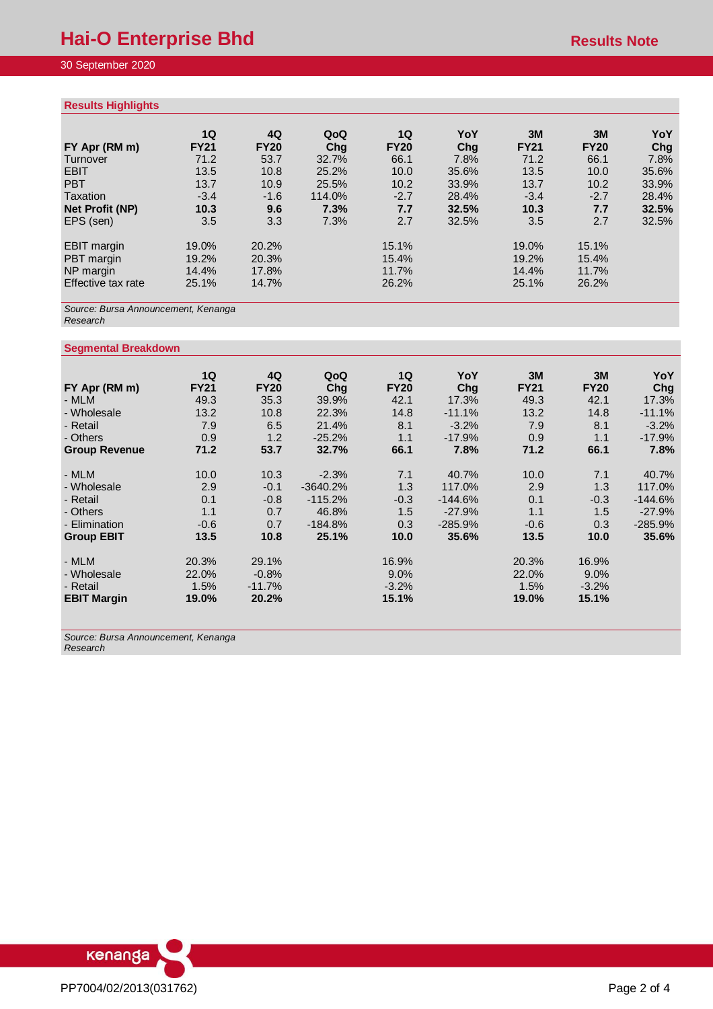# 30 September 2020

## **Results Highlights**

| $1.000$ and $1.00$ $1.00$ $1.00$ |             |             |        |             |       |             |             |       |
|----------------------------------|-------------|-------------|--------|-------------|-------|-------------|-------------|-------|
|                                  | 1Q          | 4Q          | QoQ    | 1Q          | YoY   | 3M          | 3M          | YoY   |
| FY Apr (RM m)                    | <b>FY21</b> | <b>FY20</b> | Chq    | <b>FY20</b> | Chg   | <b>FY21</b> | <b>FY20</b> | Chg   |
| Turnover                         | 71.2        | 53.7        | 32.7%  | 66.1        | 7.8%  | 71.2        | 66.1        | 7.8%  |
| <b>EBIT</b>                      | 13.5        | 10.8        | 25.2%  | 10.0        | 35.6% | 13.5        | 10.0        | 35.6% |
| <b>PBT</b>                       | 13.7        | 10.9        | 25.5%  | 10.2        | 33.9% | 13.7        | 10.2        | 33.9% |
| Taxation                         | $-3.4$      | $-1.6$      | 114.0% | $-2.7$      | 28.4% | $-3.4$      | $-2.7$      | 28.4% |
| Net Profit (NP)                  | 10.3        | 9.6         | 7.3%   | 7.7         | 32.5% | 10.3        | 7.7         | 32.5% |
| EPS (sen)                        | 3.5         | 3.3         | 7.3%   | 2.7         | 32.5% | 3.5         | 2.7         | 32.5% |
| <b>EBIT</b> margin               | 19.0%       | 20.2%       |        | 15.1%       |       | 19.0%       | 15.1%       |       |
| PBT margin                       | 19.2%       | 20.3%       |        | 15.4%       |       | 19.2%       | 15.4%       |       |
| NP margin                        | 14.4%       | 17.8%       |        | 11.7%       |       | 14.4%       | 11.7%       |       |
| Effective tax rate               | 25.1%       | 14.7%       |        | 26.2%       |       | 25.1%       | 26.2%       |       |

*Source: Bursa Announcement, Kenanga Research*

## **Segmental Breakdown**

|                      | 1Q          | 4Q          | QoQ        | 1Q          | YoY       | 3M          | 3M          | YoY       |
|----------------------|-------------|-------------|------------|-------------|-----------|-------------|-------------|-----------|
| FY Apr (RM m)        | <b>FY21</b> | <b>FY20</b> | Chg        | <b>FY20</b> | Chg       | <b>FY21</b> | <b>FY20</b> | Chg       |
| - MLM                | 49.3        | 35.3        | 39.9%      | 42.1        | 17.3%     | 49.3        | 42.1        | 17.3%     |
| - Wholesale          | 13.2        | 10.8        | 22.3%      | 14.8        | $-11.1%$  | 13.2        | 14.8        | $-11.1%$  |
| - Retail             | 7.9         | 6.5         | 21.4%      | 8.1         | $-3.2%$   | 7.9         | 8.1         | $-3.2%$   |
| - Others             | 0.9         | 1.2         | $-25.2%$   | 1.1         | $-17.9%$  | 0.9         | 1.1         | $-17.9%$  |
| <b>Group Revenue</b> | 71.2        | 53.7        | 32.7%      | 66.1        | 7.8%      | 71.2        | 66.1        | 7.8%      |
| - MLM                | 10.0        | 10.3        | $-2.3%$    | 7.1         | 40.7%     | 10.0        | 7.1         | 40.7%     |
| - Wholesale          | 2.9         | $-0.1$      | $-3640.2%$ | 1.3         | 117.0%    | 2.9         | 1.3         | 117.0%    |
| - Retail             | 0.1         | $-0.8$      | $-115.2%$  | $-0.3$      | $-144.6%$ | 0.1         | $-0.3$      | $-144.6%$ |
| - Others             | 1.1         | 0.7         | 46.8%      | 1.5         | $-27.9%$  | 1.1         | 1.5         | $-27.9%$  |
| - Elimination        | $-0.6$      | 0.7         | $-184.8%$  | 0.3         | $-285.9%$ | $-0.6$      | 0.3         | $-285.9%$ |
| <b>Group EBIT</b>    | 13.5        | 10.8        | 25.1%      | 10.0        | 35.6%     | 13.5        | 10.0        | 35.6%     |
| - MLM                | 20.3%       | 29.1%       |            | 16.9%       |           | 20.3%       | 16.9%       |           |
| - Wholesale          | 22.0%       | $-0.8%$     |            | $9.0\%$     |           | 22.0%       | $9.0\%$     |           |
| - Retail             | 1.5%        | $-11.7%$    |            | $-3.2%$     |           | 1.5%        | $-3.2%$     |           |
| <b>EBIT Margin</b>   | 19.0%       | 20.2%       |            | 15.1%       |           | 19.0%       | 15.1%       |           |

*Source: Bursa Announcement, Kenanga Research*

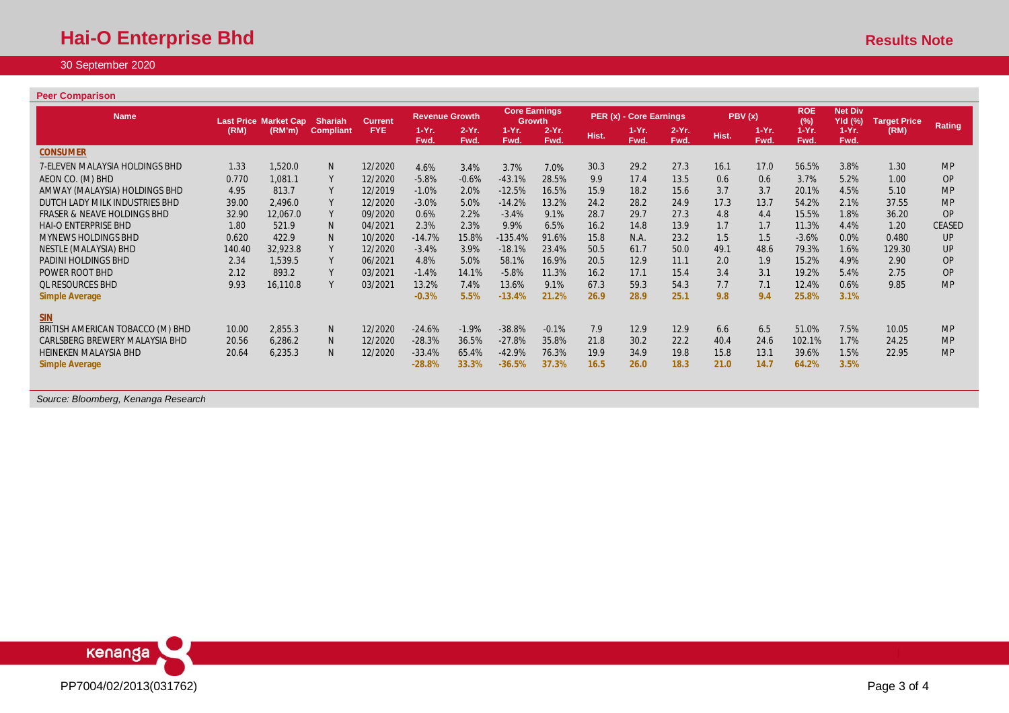# 30 September 2020

## **Peer Comparison**

| <b>Name</b>                            |        | <b>Last Price Market Cap</b> | <b>Shariah</b>   | <b>Current</b> | <b>Revenue Growth</b> |                  | <b>Core Earnings</b><br><b>Growth</b> |                  |       | PER (x) - Core Earnings |                  | PBV(x) |                  | <b>ROE</b><br>(%) | <b>Net Div</b><br>YId (%) | <b>Target Price</b> |               |
|----------------------------------------|--------|------------------------------|------------------|----------------|-----------------------|------------------|---------------------------------------|------------------|-------|-------------------------|------------------|--------|------------------|-------------------|---------------------------|---------------------|---------------|
|                                        | (RM)   | (RM'm)                       | <b>Compliant</b> | <b>FYE</b>     | $1-Yr.$<br>Fwd.       | $2-Yr$ .<br>Fwd. | $1-Yr.$<br>Fwd.                       | $2-Yr$ .<br>Fwd. | Hist. | $1-Yr.$<br>Fwd.         | $2-Yr$ .<br>Fwd. | Hist.  | $1-Yr$ .<br>Fwd. | $1-Yr$ .<br>Fwd.  | $1-Yr$ .<br>Fwd.          | (RM)                | <b>Rating</b> |
| <b>CONSUMER</b>                        |        |                              |                  |                |                       |                  |                                       |                  |       |                         |                  |        |                  |                   |                           |                     |               |
| 7-ELEVEN MALAYSIA HOLDINGS BHD         | 1.33   | 1,520.0                      | N <sub>1</sub>   | 12/2020        | 4.6%                  | 3.4%             | 3.7%                                  | 7.0%             | 30.3  | 29.2                    | 27.3             | 16.1   | 17.0             | 56.5%             | 3.8%                      | 1.30                | <b>MP</b>     |
| AEON CO. (M) BHD                       | 0.770  | 1.081.1                      | Y                | 12/2020        | $-5.8%$               | $-0.6%$          | $-43.1%$                              | 28.5%            | 9.9   | 17.4                    | 13.5             | 0.6    | 0.6              | 3.7%              | 5.2%                      | 1.00                | <b>OP</b>     |
| AMWAY (MALAYSIA) HOLDINGS BHD          | 4.95   | 813.7                        |                  | 12/2019        | $-1.0%$               | 2.0%             | $-12.5%$                              | 16.5%            | 15.9  | 18.2                    | 15.6             | 3.7    | 3.7              | 20.1%             | 4.5%                      | 5.10                | <b>MP</b>     |
| DUTCH LADY MILK INDUSTRIES BHD         | 39.00  | 2,496.0                      | Y                | 12/2020        | $-3.0%$               | 5.0%             | $-14.2%$                              | 13.2%            | 24.2  | 28.2                    | 24.9             | 17.3   | 13.7             | 54.2%             | 2.1%                      | 37.55               | <b>MP</b>     |
| <b>FRASER &amp; NEAVE HOLDINGS BHD</b> | 32.90  | 12,067.0                     |                  | 09/2020        | 0.6%                  | 2.2%             | $-3.4%$                               | 9.1%             | 28.7  | 29.7                    | 27.3             | 4.8    | 4.4              | 15.5%             | 1.8%                      | 36.20               | <b>OP</b>     |
| <b>HAI-O ENTERPRISE BHD</b>            | 1.80   | 521.9                        | N                | 04/2021        | 2.3%                  | 2.3%             | 9.9%                                  | 6.5%             | 16.2  | 14.8                    | 13.9             | 1.7    | 1.7              | 11.3%             | 4.4%                      | 1.20                | <b>CEASED</b> |
| <b>MYNEWS HOLDINGS BHD</b>             | 0.620  | 422.9                        | N                | 10/2020        | $-14.7%$              | 15.8%            | $-135.4%$                             | 91.6%            | 15.8  | N.A.                    | 23.2             | 1.5    | 1.5              | $-3.6%$           | 0.0%                      | 0.480               | UP            |
| NESTLE (MALAYSIA) BHD                  | 140.40 | 32,923.8                     | Y                | 12/2020        | $-3.4%$               | 3.9%             | $-18.1%$                              | 23.4%            | 50.5  | 61.7                    | 50.0             | 49.1   | 48.6             | 79.3%             | 1.6%                      | 129.30              | UP            |
| PADINI HOLDINGS BHD                    | 2.34   | 1,539.5                      |                  | 06/2021        | 4.8%                  | 5.0%             | 58.1%                                 | 16.9%            | 20.5  | 12.9                    | 11.1             | 2.0    | 1.9              | 15.2%             | 4.9%                      | 2.90                | <b>OP</b>     |
| <b>POWER ROOT BHD</b>                  | 2.12   | 893.2                        | Y                | 03/2021        | $-1.4%$               | 14.1%            | $-5.8%$                               | 11.3%            | 16.2  | 17.1                    | 15.4             | 3.4    | 3.1              | 19.2%             | 5.4%                      | 2.75                | <b>OP</b>     |
| <b>QL RESOURCES BHD</b>                | 9.93   | 16,110.8                     | Y                | 03/2021        | 13.2%                 | 7.4%             | 13.6%                                 | 9.1%             | 67.3  | 59.3                    | 54.3             | 7.7    | 7.1              | 12.4%             | 0.6%                      | 9.85                | <b>MP</b>     |
| <b>Simple Average</b>                  |        |                              |                  |                | $-0.3%$               | 5.5%             | $-13.4%$                              | 21.2%            | 26.9  | 28.9                    | 25.1             | 9.8    | 9.4              | 25.8%             | 3.1%                      |                     |               |
| $SIN$                                  |        |                              |                  |                |                       |                  |                                       |                  |       |                         |                  |        |                  |                   |                           |                     |               |
| BRITISH AMERICAN TOBACCO (M) BHD       | 10.00  | 2,855.3                      | N <sub>1</sub>   | 12/2020        | $-24.6%$              | $-1.9%$          | $-38.8%$                              | $-0.1%$          | 7.9   | 12.9                    | 12.9             | 6.6    | 6.5              | 51.0%             | 7.5%                      | 10.05               | <b>MP</b>     |
| CARLSBERG BREWERY MALAYSIA BHD         | 20.56  | 6,286.2                      | <sup>N</sup>     | 12/2020        | $-28.3%$              | 36.5%            | $-27.8%$                              | 35.8%            | 21.8  | 30.2                    | 22.2             | 40.4   | 24.6             | 102.1%            | 1.7%                      | 24.25               | <b>MP</b>     |
| <b>HEINEKEN MALAYSIA BHD</b>           | 20.64  | 6,235.3                      | N                | 12/2020        | $-33.4%$              | 65.4%            | $-42.9%$                              | 76.3%            | 19.9  | 34.9                    | 19.8             | 15.8   | 13.1             | 39.6%             | 1.5%                      | 22.95               | <b>MP</b>     |
| <b>Simple Average</b>                  |        |                              |                  |                | $-28.8%$              | 33.3%            | $-36.5%$                              | 37.3%            | 16.5  | 26.0                    | 18.3             | 21.0   | 14.7             | 64.2%             | 3.5%                      |                     |               |

*Source: Bloomberg, Kenanga Research*